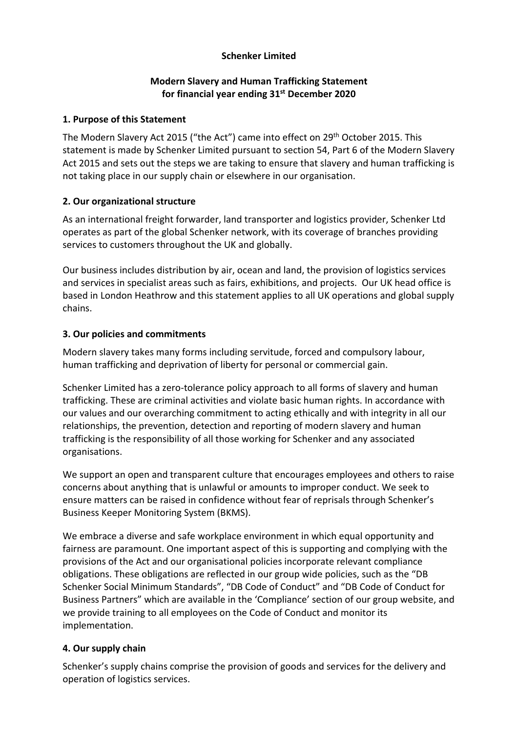## **Schenker Limited**

### **Modern Slavery and Human Trafficking Statement for financial year ending 31st December 2020**

#### **1. Purpose of this Statement**

The Modern Slavery Act 2015 ("the Act") came into effect on 29th October 2015. This statement is made by Schenker Limited pursuant to section 54, Part 6 of the Modern Slavery Act 2015 and sets out the steps we are taking to ensure that slavery and human trafficking is not taking place in our supply chain or elsewhere in our organisation.

### **2. Our organizational structure**

As an international freight forwarder, land transporter and logistics provider, Schenker Ltd operates as part of the global Schenker network, with its coverage of branches providing services to customers throughout the UK and globally.

Our business includes distribution by air, ocean and land, the provision of logistics services and services in specialist areas such as fairs, exhibitions, and projects. Our UK head office is based in London Heathrow and this statement applies to all UK operations and global supply chains.

## **3. Our policies and commitments**

Modern slavery takes many forms including servitude, forced and compulsory labour, human trafficking and deprivation of liberty for personal or commercial gain.

Schenker Limited has a zero-tolerance policy approach to all forms of slavery and human trafficking. These are criminal activities and violate basic human rights. In accordance with our values and our overarching commitment to acting ethically and with integrity in all our relationships, the prevention, detection and reporting of modern slavery and human trafficking is the responsibility of all those working for Schenker and any associated organisations.

We support an open and transparent culture that encourages employees and others to raise concerns about anything that is unlawful or amounts to improper conduct. We seek to ensure matters can be raised in confidence without fear of reprisals through Schenker's Business Keeper Monitoring System (BKMS).

We embrace a diverse and safe workplace environment in which equal opportunity and fairness are paramount. One important aspect of this is supporting and complying with the provisions of the Act and our organisational policies incorporate relevant compliance obligations. These obligations are reflected in our group wide policies, such as the "DB Schenker Social Minimum Standards", "DB Code of Conduct" and "DB Code of Conduct for Business Partners" which are available in the 'Compliance' section of our group website, and we provide training to all employees on the Code of Conduct and monitor its implementation.

### **4. Our supply chain**

Schenker's supply chains comprise the provision of goods and services for the delivery and operation of logistics services.